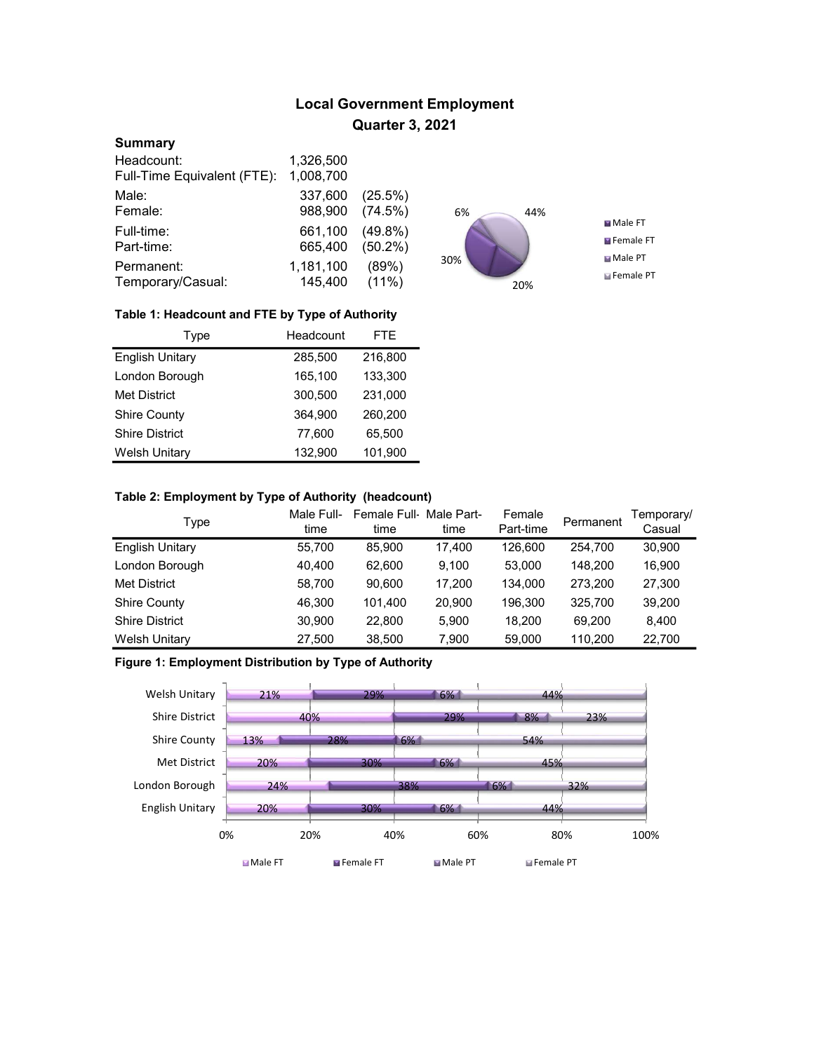# Local Government Employment Quarter 3, 2021

### **Summary**

| Headcount:                  | 1,326,500 |            |
|-----------------------------|-----------|------------|
| Full-Time Equivalent (FTE): | 1,008,700 |            |
| Male:                       | 337,600   | (25.5%)    |
| Female:                     | 988,900   | (74.5%)    |
| Full-time:                  | 661,100   | $(49.8\%)$ |
| Part-time:                  | 665,400   | $(50.2\%)$ |
| Permanent:                  | 1,181,100 | (89%)      |
| Temporary/Casual:           | 145,400   | $(11\%)$   |



#### Table 1: Headcount and FTE by Type of Authority

| Type                   | Headcount | FTE.    |
|------------------------|-----------|---------|
| <b>English Unitary</b> | 285.500   | 216,800 |
| London Borough         | 165,100   | 133,300 |
| <b>Met District</b>    | 300.500   | 231,000 |
| <b>Shire County</b>    | 364.900   | 260,200 |
| <b>Shire District</b>  | 77,600    | 65,500  |
| <b>Welsh Unitary</b>   | 132.900   | 101,900 |

### Table 2: Employment by Type of Authority (headcount)

| Type                   | Male Full-<br>time | Female Full Male Part-<br>time | time   | Female<br>Part-time | Permanent | Temporary/<br>Casual |
|------------------------|--------------------|--------------------------------|--------|---------------------|-----------|----------------------|
| <b>English Unitary</b> | 55,700             | 85.900                         | 17.400 | 126.600             | 254.700   | 30,900               |
| London Borough         | 40.400             | 62.600                         | 9.100  | 53.000              | 148.200   | 16.900               |
| <b>Met District</b>    | 58,700             | 90.600                         | 17.200 | 134,000             | 273.200   | 27,300               |
| <b>Shire County</b>    | 46,300             | 101.400                        | 20,900 | 196.300             | 325.700   | 39,200               |
| <b>Shire District</b>  | 30.900             | 22,800                         | 5.900  | 18.200              | 69.200    | 8.400                |
| <b>Welsh Unitary</b>   | 27,500             | 38,500                         | 7,900  | 59,000              | 110.200   | 22,700               |

## Figure 1: Employment Distribution by Type of Authority